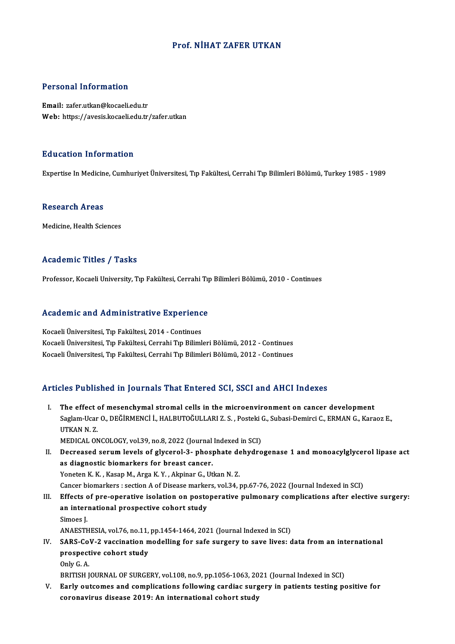## Prof.NİHAT ZAFER UTKAN

## Personal Information

Email: zafer.utkan@kocaeli.edu.tr Web: https://avesis.kocaeli.edu.tr/zafer.utkan

## Education Information

Expertise In Medicine, Cumhuriyet Üniversitesi, Tıp Fakültesi, Cerrahi Tıp Bilimleri Bölümü, Turkey 1985 - 1989

#### Research Areas

Medicine, Health Sciences

## Academic Titles / Tasks

Professor, Kocaeli University, Tıp Fakültesi, Cerrahi Tıp Bilimleri Bölümü, 2010 - Continues

# Professor, Kocaell University, Tip Pakuitesi, Cerrani Tip<br>Academic and Administrative Experience

Academic and Administrative Experienc<br>Kocaeli Üniversitesi, Tıp Fakültesi, 2014 - Continues<br>Kocaeli Üniversitesi, Tıp Fakültesi, Cerrabi Tıp Biliml Kocaeli Üniversitesi, Tıp Fakültesi, 2014 - Continues<br>Kocaeli Üniversitesi, Tıp Fakültesi, Cerrahi Tıp Bilimleri Bölümü, 2012 - Continues Kocaeli Üniversitesi, Tıp Fakültesi, Cerrahi Tıp Bilimleri Bölümü, 2012 - Continues

## Articles Published in Journals That Entered SCI, SSCI and AHCI Indexes

rticles Published in Journals That Entered SCI, SSCI and AHCI Indexes<br>I. The effect of mesenchymal stromal cells in the microenvironment on cancer development<br>Seglam Hear O. DEĞİRMENCİ LHALBUTOĞULLARLZ S. Besteli G. Subasi Saglam-Ucar O., DEĞİRMENCİ İ., HALBUTOĞULLARI Z. S. , Posteki G., Subasi-Demirci C., ERMAN G., Karaoz E.,<br>UTKAN N. Z. The effect<br>Saglam-Ucar<br>UTKAN N. Z.<br>MEDICAL ON UTKAN N. Z.<br>MEDICAL ONCOLOGY, vol.39, no.8, 2022 (Journal Indexed in SCI)<br>II. Decreased serum levels of glycerol-3- phosphate dehydrogenase 1 and monoacylglycerol lipase act<br>ac diagnostic biomarkers for broast sanser

MEDICAL ONCOLOGY, vol.39, no.8, 2022 (Journal Indexed in SCI)

MEDICAL ONCOLOGY, vol.39, no.8, 2022 (Journal<br>Decreased serum levels of glycerol-3- phosp<br>as diagnostic biomarkers for breast cancer.<br>Yongton K.K., Kasan M. Arga K.X., Alminar G. Ut Decreased serum levels of glycerol-3- phosphate de<br>as diagnostic biomarkers for breast cancer.<br>Yoneten K.K., Kasap M., Arga K.Y., Akpinar G., Utkan N.Z.<br>Cancer biomarkers : section A of Disease markers vol 34, : as diagnostic biomarkers for breast cancer.<br>Yoneten K. K. , Kasap M., Arga K. Y. , Akpinar G., Utkan N. Z.<br>Cancer biomarkers : section A of Disease markers, vol.34, pp.67-76, 2022 (Journal Indexed in SCI)

I I. Yoneten K. K., Kasap M., Arga K. Y., Akpinar G., Utkan N. Z.<br>Cancer biomarkers : section A of Disease markers, vol.34, pp.67-76, 2022 (Journal Indexed in SCI)<br>III. Effects of pre-operative isolation on postoperative p Cancer biomarkers : section A of Disease marke:<br>Effects of pre-operative isolation on posto<br>an international prospective cohort study<br>Simoes I Effects c<br>an inter:<br>Simoes J. an international prospective cohort study<br>Simoes J.<br>ANAESTHESIA, vol.76, no.11, pp.1454-1464, 2021 (Journal Indexed in SCI)<br>SABS CoV. 2 vassination modelling for safe sungery to save lives: d

## Simoes J.<br>ANAESTHESIA, vol.76, no.11, pp.1454-1464, 2021 (Journal Indexed in SCI)<br>IV. SARS-CoV-2 vaccination modelling for safe surgery to save lives: data from an international<br>prognestive sebert study ANAESTHESIA, vol.76, no.11,<br>SARS-CoV-2 vaccination m<br>prospective cohort study SARS-Co<br>prospect<br>Only G. A.<br>pprrisu i prospective cohort study<br>Only G. A.<br>BRITISH JOURNAL OF SURGERY, vol.108, no.9, pp.1056-1063, 2021 (Journal Indexed in SCI)

V. Early outcomes and complications following cardiac surgery in patients testing positive for coronavirus disease 2019: An international cohort study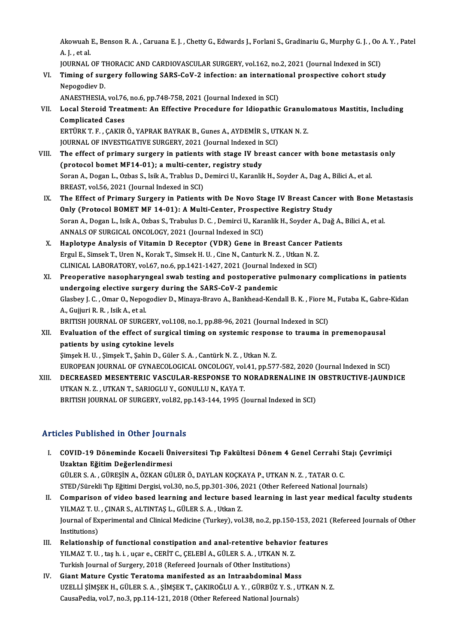Akowuah E., Benson R. A. , Caruana E. J. , Chetty G., Edwards J., Forlani S., Gradinariu G., Murphy G. J. , Oo A. Y. , Patel<br>A. L. et al. Akowuah<br>A. J. , et al.<br>JOUPNAL Akowuah E., Benson R. A. , Caruana E. J. , Chetty G., Edwards J., Forlani S., Gradinariu G., Murphy G. J. , Oo<br>A. J. , et al.<br>JOURNAL OF THORACIC AND CARDIOVASCULAR SURGERY, vol.162, no.2, 2021 (Journal Indexed in SCI)<br>Tim

A. J. , et al.<br>JOURNAL OF THORACIC AND CARDIOVASCULAR SURGERY, vol.162, no.2, 2021 (Journal Indexed in SCI)<br>VI. Timing of surgery following SARS-CoV-2 infection: an international prospective cohort study<br>Nanogodiay D. **JOURNAL OF T<br>Timing of sur<br>Nepogodiev D.**<br>ANAESTHESIA Timing of surgery following SARS-CoV-2 infection: an internati<br>Nepogodiev D.<br>ANAESTHESIA, vol.76, no.6, pp.748-758, 2021 (Journal Indexed in SCI)<br>Local Staroid Treatment: An Effective Procedure for Idionathic

Nepogodiev D.<br>ANAESTHESIA, vol.76, no.6, pp.748-758, 2021 (Journal Indexed in SCI)<br>VII. Local Steroid Treatment: An Effective Procedure for Idiopathic Granulomatous Mastitis, Including<br>Complicated Cases ANAESTHESIA, vol.76<br>Local Steroid Treat<br>Complicated Cases<br>EPT<sup>iDVTE CAVID</sup> Local Steroid Treatment: An Effective Procedure for Idiopathic Granulo<br>Complicated Cases<br>ERTÜRK T. F. , ÇAKIR Ö., YAPRAK BAYRAK B., Gunes A., AYDEMİR S., UTKAN N. Z.<br>JOUPNAL OE INVESTIC ATIVE SUBCEPY 2021 (Journal Indoved Complicated Cases<br>ERTÜRK T. F. , ÇAKIR Ö., YAPRAK BAYRAK B., Gunes A., AYDEMİR S., UT.<br>JOURNAL OF INVESTIGATIVE SURGERY, 2021 (Journal Indexed in SCI)<br>The effect of primery surgery in potients with stage IV breest (

- ERTÜRK T. F., ÇAKIR Ö., YAPRAK BAYRAK B., Gunes A., AYDEMİR S., UTKAN N. Z.<br>JOURNAL OF INVESTIGATIVE SURGERY, 2021 (Journal Indexed in SCI)<br>VIII. The effect of primary surgery in patients with stage IV breast cancer with b JOURNAL OF INVESTIGATIVE SURGERY, 2021 (Journal Indexed in<br>The effect of primary surgery in patients with stage IV bre<br>(protocol bomet MF14-01); a multi-center, registry study<br>Saran A. Degan L. Orbas S. Jaik A. Trablus D. The effect of primary surgery in patients with stage IV breast cancer with bone metastasi<br>(protocol bomet MF14-01); a multi-center, registry study<br>Soran A., Dogan L., Ozbas S., Isik A., Trablus D., Demirci U., Karanlik H., (protocol bomet MF14-01); a multi-center, registry study<br>Soran A., Dogan L., Ozbas S., Isik A., Trablus D., Demirci U., Karanlik H., Soyder A., Dag A., Bilici A., et al.<br>BREAST, vol.56, 2021 (Journal Indexed in SCI) Soran A., Dogan L., Ozbas S., Isik A., Trablus D., Demirci U., Karanlik H., Soyder A., Dag A., Bilici A., et al.<br>BREAST, vol.56, 2021 (Journal Indexed in SCI)<br>IX. The Effect of Primary Surgery in Patients with De Novo Stag
- BREAST, vol.56, 2021 (Journal Indexed in SCI)<br>The Effect of Primary Surgery in Patients with De Novo Stage IV Breast Cance:<br>Only (Protocol BOMET MF 14-01): A Multi-Center, Prospective Registry Study<br>Seren A, Degan L. Jeil: The Effect of Primary Surgery in Patients with De Novo Stage IV Breast Cancer with Bone Me<br>Only (Protocol BOMET MF 14-01): A Multi-Center, Prospective Registry Study<br>Soran A., Dogan L., Isik A., Ozbas S., Trabulus D. C. , Only (Protocol BOMET MF 14-01): A Multi-Center, Prospective Registry Study<br>Soran A., Dogan L., Isik A., Ozbas S., Trabulus D. C. , Demirci U., Karanlik H., Soyder A., Dağ A., Bilici A., et al.<br>ANNALS OF SURGICAL ONCOLOGY, Soran A., Dogan L., Isik A., Ozbas S., Trabulus D. C. , Demirci U., Karanlik H., Soyder A., Dağ A.,<br>ANNALS OF SURGICAL ONCOLOGY, 2021 (Journal Indexed in SCI)<br>X. Haplotype Analysis of Vitamin D Receptor (VDR) Gene in Breas
- ANNALS OF SURGICAL ONCOLOGY, 2021 (Journal Indexed in SCI)<br>Haplotype Analysis of Vitamin D Receptor (VDR) Gene in Breast Cancer P:<br>Ergul E., Simsek T., Uren N., Korak T., Simsek H. U. , Cine N., Canturk N. Z. , Utkan N. Z. Haplotype Analysis of Vitamin D Receptor (VDR) Gene in Breast Cancer P<br>Ergul E., Simsek T., Uren N., Korak T., Simsek H. U. , Cine N., Canturk N. Z. , Utkan N. Z.<br>CLINICAL LABORATORY, vol.67, no.6, pp.1421-1427, 2021 (Jour Ergul E., Simsek T., Uren N., Korak T., Simsek H. U. , Cine N., Canturk N. Z. , Utkan N. Z.<br>CLINICAL LABORATORY, vol.67, no.6, pp.1421-1427, 2021 (Journal Indexed in SCI)<br>XI. Preoperative nasopharyngeal swab testing and po
- CLINICAL LABORATORY, vol.67, no.6, pp.1421-1427, 2021 (Journal Ind<br>Preoperative nasopharyngeal swab testing and postoperative<br>undergoing elective surgery during the SARS-CoV-2 pandemic<br>Clasboy L.C. Omar O. Nanogodiov D. Mi Glasbey J. C. , Omar O., Nepogodiev D., Minaya-Bravo A., Bankhead-Kendall B. K. , Fiore M., Futaba K., Gabre-Kidan<br>A., Gujjuri R. R. , Isik A., et al. undergoing elective surg<br>Glasbey J. C. , Omar O., Nepo<sub>i</sub><br>A., Gujjuri R. R. , Isik A., et al.<br>PRITISH JOURNAL OF SURC BRITISH JOURNAL OF SURGERY, vol.108, no.1, pp.88-96, 2021 (Journal Indexed in SCI) A., Gujjuri R. R. , Isik A., et al.<br>BRITISH JOURNAL OF SURGERY, vol.108, no.1, pp.88-96, 2021 (Journal Indexed in SCI)<br>XII. Evaluation of the effect of surgical timing on systemic response to trauma in premenopausal<br>na
- BRITISH JOURNAL OF SURGERY, vol.1<br>Evaluation of the effect of surgic:<br>patients by using cytokine levels<br>Simsek H, H, Simsek T, Sobin D, Göle Evaluation of the effect of surgical timing on systemic respons<br>patients by using cytokine levels<br>Simsek H. U. , Simsek T., Sahin D., Güler S. A. , Cantürk N. Z. , Utkan N. Z.<br>EUROPEAN JOURNAL OF CYNAECOLOCICAL ONCOLOCY yo patients by using cytokine levels<br>Şimşek H. U. , Şimşek T., Şahin D., Güler S. A. , Cantürk N. Z. , Utkan N. Z.<br>EUROPEAN JOURNAL OF GYNAECOLOGICAL ONCOLOGY, vol.41, pp.577-582, 2020 (Journal Indexed in SCI)<br>DECREASED MESEN Simşek H. U. , Şimşek T., Şahin D., Güler S. A. , Cantürk N. Z. , Utkan N. Z.<br>EUROPEAN JOURNAL OF GYNAECOLOGICAL ONCOLOGY, vol.41, pp.577-582, 2020 (Journal Indexed in SCI)<br>XIII. DECREASED MESENTERIC VASCULAR-RESPONSE
- DECREASED MESENTERIC VASCULAR-RESPONSE TO NORADRENALINE IN OBSTRUCTIVE-JAUNDICE UTKAN N.Z., UTKAN T., SARIOGLU Y., GONULLU N., KAYA T. BRITISH JOURNAL OF SURGERY, vol.82, pp.143-144, 1995 (Journal Indexed in SCI)

## Articles Published in Other Journals

- rticles Published in Other Journals<br>I. COVID-19 Döneminde Kocaeli Üniversitesi Tıp Fakültesi Dönem 4 Genel Cerrahi Stajı Çevrimiçi<br>Ugaktan Fğitim Değerlendirmesi 1991 - Hononou in Sener Journ<br>COVID-19 Döneminde Kocaeli Ür<br>Uzaktan Eğitim Değerlendirmesi<br>CÜLERS A. CÜRESIMA ÖZKAN CÜ Uzaktan Eğitim Değerlendirmesi<br>GÜLER S. A. , GÜREŞİN A., ÖZKAN GÜLER Ö., DAYLAN KOÇKAYA P., UTKAN N. Z. , TATAR O. C. Uzaktan Eğitim Değerlendirmesi<br>GÜLER S. A. , GÜREŞİN A., ÖZKAN GÜLER Ö., DAYLAN KOÇKAYA P., UTKAN N. Z. , TATAR O. C.<br>STED/Sürekli Tıp Eğitimi Dergisi, vol.30, no.5, pp.301-306, 2021 (Other Refereed National Journals)<br>Comp
- II. Comparison of video based learning and lecture based learning in last year medical faculty students<br>YILMAZ T. U., CINAR S., ALTINTAS L., GÜLER S. A., Utkan Z. STED/Sürekli Tıp Eğitimi Dergisi, vol.30, no.5, pp.301-306, 2<br>Comparison of video based learning and lecture bas<br>YILMAZ T. U. , ÇINAR S., ALTINTAŞ L., GÜLER S. A. , Utkan Z.<br>Journal of Eunerimental and Clinical Medicine (T Comparison of video based learning and lecture based learning in last year medical faculty students<br>YILMAZ T. U. , ÇINAR S., ALTINTAŞ L., GÜLER S. A. , Utkan Z.<br>Journal of Experimental and Clinical Medicine (Turkey), vol.3 YILMAZ T. U.<br>Journal of Ex<br>Institutions)<br>Relationshi Journal of Experimental and Clinical Medicine (Turkey), vol.38, no.2, pp.150-153, 2021<br>Institutions)<br>III. Relationship of functional constipation and anal-retentive behavior features<br>VII.MAZT II. took in worne CERIT C. CEL
- Institutions)<br>Relationship of functional constipation and anal-retentive behavior<br>YILMAZ T. U. , taş h. i. , uçar e., CERİT C., ÇELEBİ A., GÜLER S. A. , UTKAN N. Z.<br>Turkish Journal of Surgery, 2019 (Refereed Journals of Ot Relationship of functional constipation and anal-retentive behavio<br>YILMAZ T. U. , taş h. i. , uçar e., CERİT C., ÇELEBİ A., GÜLER S. A. , UTKAN N. 2<br>Turkish Journal of Surgery, 2018 (Refereed Journals of Other Institutions YILMAZ T. U., taş h. i., uçar e., CERİT C., ÇELEBİ A., GÜLER S. A., UTKAN N. Z.<br>Turkish Journal of Surgery, 2018 (Refereed Journals of Other Institutions)<br>IV. Giant Mature Cystic Teratoma manifested as an Intraabdominal Ma
- Turkish Journal of Surgery, 2018 (Refereed Journals of Other Institutions)<br>Giant Mature Cystic Teratoma manifested as an Intraabdominal Mass<br>UZELLİ ŞİMŞEK H., GÜLER S.A. , ŞİMŞEK T., ÇAKIROĞLU A. Y. , GÜRBÜZ Y.S. , UTKAN N Giant Mature Cystic Teratoma manifested as an Intraabdominal Mas:<br>UZELLİ ŞİMŞEK H., GÜLER S. A. , ŞİMŞEK T., ÇAKIROĞLU A. Y. , GÜRBÜZ Y. S. , l<br>CausaPedia, vol.7, no.3, pp.114-121, 2018 (Other Refereed National Journals)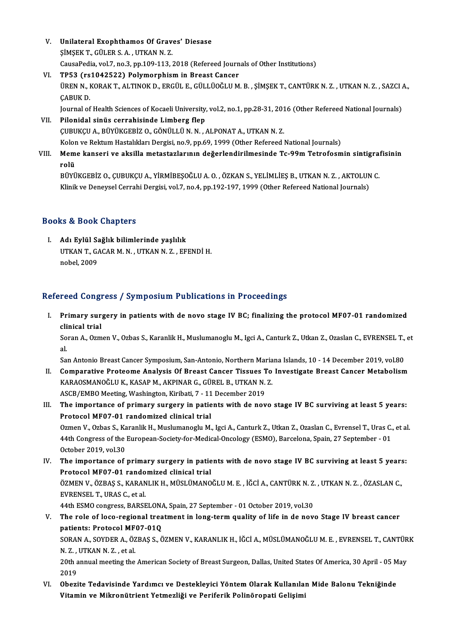- V. Unilateral Exophthamos Of Graves' Diesase Unilateral Exophthamos Of Grav<br>ŞİMŞEK T., GÜLER S. A. , UTKAN N. Z.<br>CausaPedia val 7 na 3 nn 100 112 . CausaPedia,vol.7,no.3,pp.109-113,2018 (Refereed Journals ofOther Institutions) SIMSEK T., GÜLER S. A., UTKAN N. Z.<br>CausaPedia, vol.7, no.3, pp.109-113, 2018 (Refereed Journ<br>VI. TP53 (rs1042522) Polymorphism in Breast Cancer<br>UPEN N. KORAK T. ALTINOK D. ERCÜL E. CÜLLÜQÖLUM
- CausaPedia, vol.7, no.3, pp.109-113, 2018 (Refereed Journals of Other Institutions)<br>TP53 (rs1042522) Polymorphism in Breast Cancer<br>ÜREN N., KORAK T., ALTINOK D., ERGÜL E., GÜLLÜOĞLU M. B. , ŞİMŞEK T., CANTÜRK N. Z. , UTKAN TP53 (rs<br>ÜREN N., I<br>ÇABUK D.<br>Journal of ÜREN N., KORAK T., ALTINOK D., ERGÜL E., GÜLLÜOĞLU M. B. , ŞİMŞEK T., CANTÜRK N. Z. , UTKAN N. Z. , SAZCI .<br>ÇABUK D.<br>Journal of Health Sciences of Kocaeli University, vol.2, no.1, pp.28-31, 2016 (Other Refereed National Jo

CABUK D.<br>Journal of Health Sciences of Kocaeli University, vol.2, no.1, pp.28-31, 201<br>VII. Pilonidal sinüs cerrahisinde Limberg flep<br>CUBUKCU A., BÜYÜKGEBİZ O., GÖNÜLLÜ N. N. , ALPONAT A., UTKAN N. Z. Journal of Health Sciences of Kocaeli University, vol.2, no.1, pp.28-31, 2016 (Other Refereed National Journals)

Kolon ve Rektum Hastalıkları Dergisi, no.9, pp.69, 1999 (Other Refereed National Journals)

CUBUKÇU A., BÜYÜKGEBİZ O., GÖNÜLLÜ N. N. , ALPONAT A., UTKAN N. Z.<br>Kolon ve Rektum Hastalıkları Dergisi, no.9, pp.69, 1999 (Other Refereed National Journals)<br>VIII. Meme kanseri ve aksilla metastazlarının değerlendirilm Kolor<br><mark>Mem</mark><br>rolü<br><sub>P</sub>üvü Meme kanseri ve aksilla metastazlarının değerlendirilmesinde Tc-99m Tetrofosmin sintigra:<br>rolü<br>BÜYÜKGEBİZ O., ÇUBUKÇU A., YİRMİBEŞOĞLU A. O. , ÖZKAN S., YELİMLİEŞ B., UTKAN N. Z. , AKTOLUN C.<br>Klinik ve Denevgel Cerrebi Der

rolü<br>BÜYÜKGEBİZ O., ÇUBUKÇU A., YİRMİBEŞOĞLU A. O. , ÖZKAN S., YELİMLİEŞ B., UTKAN N. Z. , AKTOLUN C.<br>Klinik ve Deneysel Cerrahi Dergisi, vol.7, no.4, pp.192-197, 1999 (Other Refereed National Journals)

## Books&Book Chapters

I. Adı Eylül Sağlık bilimlerinde yaşlılık tə & Book onapters<br>Adı Eylül Sağlık bilimlerinde yaşlılık<br>UTKAN T., GACAR M. N. , UTKAN N. Z. , EFENDİ H.<br>nebel 2009 <mark>Adı Eylül S</mark>a<br>UTKAN T., G*l*<br>nobel, 2009

## nobel, 2009<br>Refereed Congress / Symposium Publications in Proceedings

efereed Congress / Symposium Publications in Proceedings<br>I. Primary surgery in patients with de novo stage IV BC; finalizing the protocol MF07-01 randomized<br>clinical trial reed dong.<br>Primary sur<br>clinical trial Primary surgery in patients with de novo stage IV BC; finalizing the protocol MF07-01 randomized<br>clinical trial<br>Soran A., Ozmen V., Ozbas S., Karanlik H., Muslumanoglu M., Igci A., Canturk Z., Utkan Z., Ozaslan C., EVRENSE

cli<br>So<br>al Soran A., Ozmen V., Ozbas S., Karanlik H., Muslumanoglu M., Igci A., Canturk Z., Utkan Z., Ozaslan C., EVRENSEL T.,<br>al.<br>San Antonio Breast Cancer Symposium, San-Antonio, Northern Mariana Islands, 10 - 14 December 2019, vol

- al.<br>I . Comparative Proteome Analysis Of Breast Cancer Tissues To Investigate Breast Cancer Metabolism<br>I . Comparative Proteome Analysis Of Breast Cancer Tissues To Investigate Breast Cancer Metabolism<br>I . Comparative Prot San Antonio Breast Cancer Symposium, San-Antonio, Northern Maria<br>Comparative Proteome Analysis Of Breast Cancer Tissues To<br>KARAOSMANOĞLU K., KASAP M., AKPINAR G., GÜREL B., UTKAN N. Z.<br>ASCP (EMBO Mesting Weshington Kiribat Comparative Proteome Analysis Of Breast Cancer Tissues T<br>KARAOSMANOĞLU K., KASAP M., AKPINAR G., GÜREL B., UTKAN N.<br>ASCB/EMBO Meeting, Washington, Kiribati, 7 - 11 December 2019<br>The impertance of primery surgery in patient KARAOSMANOĞLU K., KASAP M., AKPINAR G., GÜREL B., UTKAN N. Z.<br>ASCB/EMBO Meeting, Washington, Kiribati, 7 - 11 December 2019<br>III. The importance of primary surgery in patients with de novo stage IV BC surviving at least 5 y
- ASCB/EMBO Meeting, Washington, Kiribati, 7 11<br>The importance of primary surgery in patie<br>Protocol MF07-01 randomized clinical trial<br>Ozmon V. Ozbas S. Karanlik H. Muslumanoglu M The importance of primary surgery in patients with de novo stage IV BC surviving at least 5 years:<br>Protocol MF07-01 randomized clinical trial<br>Ozmen V., Ozbas S., Karanlik H., Muslumanoglu M., Igci A., Canturk Z., Utkan Z., Protocol MF07-01 randomized clinical trial<br>Ozmen V., Ozbas S., Karanlik H., Muslumanoglu M., Igci A., Canturk Z., Utkan Z., Ozaslan C., Evrensel T., Uras C.<br>44th Congress of the European-Society-for-Medical-Oncology (ESMO) Ozmen V., Ozbas S., Ka<br>44th Congress of the<br>October 2019, vol.30<br>The importance of 14th Congress of the European-Society-for-Medical-Oncology (ESMO), Barcelona, Spain, 27 September - 01<br>October 2019, vol.30<br>IV. The importance of primary surgery in patients with de novo stage IV BC surviving at least 5 ye
- October 2019, vol.30<br>IV. The importance of primary surgery in patients with de novo stage IV BC surviving at least 5 years:<br>Protocol MF07-01 randomized clinical trial The importance of primary surgery in patients with de novo stage IV BC surviving at least 5 years<br>Protocol MF07-01 randomized clinical trial<br>ÖZMEN V., ÖZBAŞ S., KARANLIK H., MÜSLÜMANOĞLU M. E. , İĞCİ A., CANTÜRK N. Z. , UT Protocol MF07-01 rando<br>ÖZMEN V., ÖZBAŞ S., KARAN<br>EVRENSEL T., URAS C., et al.<br>44th ESMO constesse BARSE ÖZMEN V., ÖZBAŞ S., KARANLIK H., MÜSLÜMANOĞLU M. E. , İĞCİ A., CANTÜRK N. Z.<br>EVRENSEL T., URAS C., et al.<br>44th ESMO congress, BARSELONA, Spain, 27 September - 01 October 2019, vol.30<br>The role of logo regional treatment in EVRENSEL T., URAS C., et al.<br>44th ESMO congress, BARSELONA, Spain, 27 September - 01 October 2019, vol.30<br>V. The role of loco-regional treatment in long-term quality of life in de novo Stage IV breast cancer<br>patients: Prot 44th ESMO congress, BARSELONA, Spain, 27 September - 01 October 2019, vol.30
- The role of loco-regional treatment in long-term quality of life in de novo Stage IV breast cancer<br>patients: Protocol MF07-01Q<br>SORAN A., SOYDER A., ÖZBAŞ S., ÖZMEN V., KARANLIK H., İĞCİ A., MÜSLÜMANOĞLU M. E. , EVRENSEL T. patients: Protocol MF<br>SORAN A., SOYDER A., ÖZ<br>N. Z. , UTKAN N. Z. , et al.<br>20th annual meeting the

SORAN A., SOYDER A., ÖZBAŞ S., ÖZMEN V., KARANLIK H., İĞCİ A., MÜSLÜMANOĞLU M. E. , EVRENSEL T., CANTÜR<br>N. Z. , UTKAN N. Z. , et al.<br>20th annual meeting the American Society of Breast Surgeon, Dallas, United States Of Amer N. Z. , UTKAN N. Z. , et al.<br>20th annual meeting the American Society of Breast Surgeon, Dallas, United States Of America, 30 April - 05 May<br>2019 20th annual meeting the American Society of Breast Surgeon, Dallas, United States Of America, 30 April - 05 M<br>2019<br>VI. Obezite Tedavisinde Yardımcı ve Destekleyici Yöntem Olarak Kullanılan Mide Balonu Tekniğinde<br>Witamin ve

2019<br>Obezite Tedavisinde Yardımcı ve Destekleyici Yöntem Olarak Kullanılaı<br>Vitamin ve Mikronütrient Yetmezliği ve Periferik Polinöropati Gelişimi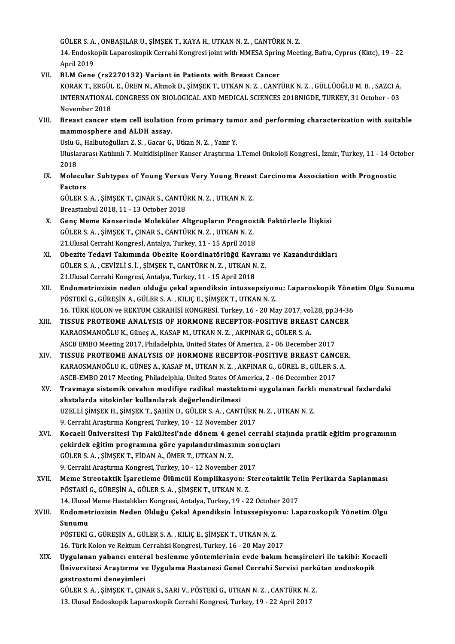GÜLER S. A. , ONBAŞILAR U., ŞİMŞEK T., KAYA H., UTKAN N. Z. , CANTÜRK N. Z.<br>14. Endeskenik Lanareskanik Carrabi Kangresi isint yütk MMESA Spring Mest

14. Endoskopik Laparoskopik Cerrahi Kongresi joint with MMESA Spring Meeting, Bafra, Cyprus (Kktc), 19 - 22<br>April 2019 GÜLER S. A.<br>14. Endosko<br>April 2019<br>BLM Cone

## VII. BLM Gene (rs2270132) Variant in Patients with Breast Cancer

KORAKT.,ERGÜL E.,ÜRENN.,AltınokD.,ŞİMŞEKT.,UTKANN.Z. ,CANTÜRKN.Z. ,GÜLLÜOĞLUM.B. ,SAZCIA. BLM Gene (rs2270132) Variant in Patients with Breast Cancer<br>KORAK T., ERGÜL E., ÜREN N., Altınok D., ŞİMŞEK T., UTKAN N. Z. , CANTÜRK N. Z. , GÜLLÜOĞLU M. B. , SAZCI A.<br>INTERNATIONAL CONGRESS ON BIOLOGICAL AND MEDICAL SCIE KORAK T., ERGÜL<br>INTERNATIONAL<br>November 2018<br>Preast sanser s INTERNATIONAL CONGRESS ON BIOLOGICAL AND MEDICAL SCIENCES 2018NIGDE, TURKEY, 31 October - 03<br>November 2018<br>VIII. Breast cancer stem cell isolation from primary tumor and performing characterization with suitable<br>mammosphar

November 2018<br>Breast cancer stem cell isolation from primary tumor and performing characterization with suitable<br>mammosphere and ALDH assay. Breast cancer stem cell isolation from primary tum<br>mammosphere and ALDH assay.<br>Uslu G., Halbutoğulları Z. S. , Gacar G., Utkan N. Z. , Yazır Y.<br>Uluclarares: Katılımlı 7. Multidisinliner Kanser Arastrma

Uluslararası Katılımlı 7. Multidisipliner Kanser Araştırma 1.Temel Onkoloji Kongresi., İzmir, Turkey, 11 - 14 October<br>2018 Uslu G<br>Ulusla<br>2018<br>Malas Uluslararası Katılımlı 7. Multidisipliner Kanser Araştırma 1.Temel Onkoloji Kongresi., İzmir, Turkey, 11 - 14 Oc<br>2018<br>IX. Molecular Subtypes of Young Versus Very Young Breast Carcinoma Association with Prognostic<br>Factors

2018<br>Molecul<br>Factors<br>CÜLEP S Molecular Subtypes of Young Versus Very Young Breas<br>Factors<br>GÜLER S. A. , ŞİMŞEK T., ÇINAR S., CANTÜRK N. Z. , UTKAN N. Z.<br>Preastanbul 2019-11- 12 Ostabar 2018

Factors<br>GÜLER S. A. , ŞİMŞEK T., ÇINAR S., CANTÜ<br>Breastanbul 2018, 11 - 13 October 2018<br>Cons Mame Kanseninde Meleküler Al

- GÜLER S. A. , ŞİMŞEK T., ÇINAR S., CANTÜRK N. Z. , UTKAN N. Z.<br>Breastanbul 2018, 11 13 October 2018<br>X. Genç Meme Kanserinde Moleküler Altgrupların Prognostik Faktörlerle İlişkisi<br>CÜLER S. A. SİMSEK T. CINAR S. CANTÜR N. Breastanbul 2018, 11 - 13 October 2018<br>Genç Meme Kanserinde Moleküler Altgrupların Prognos<br>GÜLER S. A. , ŞİMŞEK T., ÇINAR S., CANTÜRK N. Z. , UTKAN N. Z.<br>21 Ulusel Cenrebi Kanspeel, Antelye Turkey 11 - 15 Anril 2019 GÜLER S. A. , ŞİMŞEK T., ÇINAR S., CANTÜRK N. Z. , UTKAN N. Z.<br>21.Ulusal Cerrahi Kongresİ, Antalya, Turkey, 11 - 15 April 2018 GÜLER S. A. , ŞİMŞEK T., ÇINAR S., CANTÜRK N. Z. , UTKAN N. Z.<br>21.Ulusal Cerrahi Kongresİ, Antalya, Turkey, 11 - 15 April 2018<br>XI. Obezite Tedavi Takımında Obezite Koordinatörlüğü Kavramı ve Kazandırdıkları<br>CÜLER S. A.
- 21.Ulusal Cerrahi Kongresİ, Antalya, Turkey, 11 15 April 2018<br>Obezite Tedavi Takımında Obezite Koordinatörlüğü Kavram<br>GÜLER S. A. , CEVİZLİ S. İ. , ŞİMŞEK T., CANTÜRK N. Z. , UTKAN N. Z.<br>21 Husal Cerrahi Kongresi, Antaly Obezite Tedavi Takımında Obezite Koordinatörlüğü Kavr<br>GÜLER S. A. , CEVİZLİ S. İ. , ŞİMŞEK T., CANTÜRK N. Z. , UTKAN N<br>21.Ulusal Cerrahi Kongresi, Antalya, Turkey, 11 - 15 April 2018<br>Endemetrierisin naden olduğu sekal apen GÜLER S. A. , CEVİZLİ S. İ. , ŞİMŞEK T., CANTÜRK N. Z. , UTKAN N. Z.<br>21.Ulusal Cerrahi Kongresi, Antalya, Turkey, 11 - 15 April 2018<br>XII. Endometriozisin neden olduğu çekal apendiksin intussepsiyonu: Laparoskopik Yönet
- 21.Ulusal Cerrahi Kongresi, Antalya, Turkey, 11 15 April 2018<br><mark>Endometriozisin neden olduğu çekal apendiksin intussepsiyon</mark><br>PÖSTEKİ G., GÜREŞİN A., GÜLER S. A. , KILIÇ E., ŞİMŞEK T., UTKAN N. Z.<br>16. TÜRK KOLON ve REKTIM Endometriozisin neden olduğu çekal apendiksin intussepsiyonu: Laparoskopik Yöne<br>PÖSTEKİ G., GÜREŞİN A., GÜLER S. A. , KILIÇ E., ŞİMŞEK T., UTKAN N. Z.<br>16. TÜRK KOLON ve REKTUM CERAHİSİ KONGRESİ, Turkey, 16 - 20 May 2017, v PÖSTEKİ G., GÜREŞİN A., GÜLER S. A. , KILIÇ E., ŞİMŞEK T., UTKAN N. Z.<br>16. TÜRK KOLON ve REKTUM CERAHİSİ KONGRESİ, Turkey, 16 - 20 May 2017, vol.28, pp.34-36<br>XIII. TISSUE PROTEOME ANALYSIS OF HORMONE RECEPTOR-POSITIVE
- 16. TÜRK KOLON ve REKTUM CERAHİSİ KONGRESİ, Turkey, 16 20 May 2017, vol<br>TISSUE PROTEOME ANALYSIS OF HORMONE RECEPTOR-POSITIVE BREAS<br>KARAOSMANOĞLU K., Güneş A., KASAP M., UTKAN N. Z. , AKPINAR G., GÜLER S. A.<br>ASCP EMPO Me TISSUE PROTEOME ANALYSIS OF HORMONE RECEPTOR-POSITIVE BREAST CANO<br>KARAOSMANOĞLU K., Güneş A., KASAP M., UTKAN N. Z. , AKPINAR G., GÜLER S. A.<br>ASCB EMBO Meeting 2017, Philadelphia, United States Of America, 2 - 06 December KARAOSMANOĞLU K., Güneş A., KASAP M., UTKAN N. Z., AKPINAR G., GÜLER S. A.<br>ASCB EMBO Meeting 2017, Philadelphia, United States Of America, 2 - 06 December 2017<br>XIV. TISSUE PROTEOME ANALYSIS OF HORMONE RECEPTOR-POSITIVE BRE
- ASCB EMBO Meeting 2017, Philadelphia, United States Of America, 2 06 December 2017<br>TISSUE PROTEOME ANALYSIS OF HORMONE RECEPTOR-POSITIVE BREAST CANCEF<br>KARAOSMANOĞLU K., GÜNEŞ A., KASAP M., UTKAN N. Z. , AKPINAR G., GÜREL TISSUE PROTEOME ANALYSIS OF HORMONE RECEPTOR-POSITIVE BREAST CANO<br>KARAOSMANOĞLU K., GÜNEŞ A., KASAP M., UTKAN N. Z. , AKPINAR G., GÜREL B., GÜLER S.<br>ASCB-EMBO 2017 Meeting, Philadelphia, United States Of America, 2 - 06 De KARAOSMANOĞLU K., GÜNEŞ A., KASAP M., UTKAN N. Z. , AKPINAR G., GÜREL B., GÜLER S. A.<br>ASCB-EMBO 2017 Meeting, Philadelphia, United States Of America, 2 - 06 December 2017<br>XV. Travmaya sistemik cevabın modifiye radikal
- ASCB-EMBO 2017 Meeting, Philadelphia, United States Of A<br><mark>Travmaya sistemik cevabın modifiye radikal mastek</mark><br>ahstalarda sitokinler kullanılarak değerlendirilmesi<br>117ELLİ SİMSEK UL SİMSEK T. SAHİN D. GÜLER S. A. GANI Travmaya sistemik cevabın modifiye radikal mastektomi uygulanan farklı<br>ahstalarda sitokinler kullanılarak değerlendirilmesi<br>UZELLİ ŞİMŞEK H., ŞİMŞEK T., ŞAHİN D., GÜLER S. A. , CANTÜRK N. Z. , UTKAN N. Z.<br>9. Cannaki Anastu ahstalarda sitokinler kullanılarak değerlendirilmesi<br>UZELLİ ŞİMŞEK H., ŞİMŞEK T., ŞAHİN D., GÜLER S. A. , CANTÜRK N. Z. , UTKAN N. Z.<br>9. Cerrahi Araştırma Kongresi, Turkey, 10 - 12 November 2017 UZELLİ ŞİMŞEK H., ŞİMŞEK T., ŞAHİN D., GÜLER S. A. , CANTÜRK N. Z. , UTKAN N. Z.<br>9. Cerrahi Araştırma Kongresi, Turkey, 10 - 12 November 2017<br>XVI. Kocaeli Üniversitesi Tıp Fakültesi'nde dönem 4 genel cerrahi stajında p
- 9. Cerrahi Araştırma Kongresi, Turkey, 10 12 November 2017<br>Kocaeli Üniversitesi Tıp Fakültesi'nde dönem 4 genel cerrahi st<br>çekirdek eğitim programına göre yapılandırılmasının sonuçları<br>ÇÜLER S. A. SİMSEK T. FİDAN A. ÖMER Kocaeli Üniversitesi Tıp Fakültesi'nde dönem 4 ge<br>çekirdek eğitim programına göre yapılandırılması<br>GÜLER S.A., ŞİMŞEKT., FİDAN A., ÖMERT., UTKAN N.Z.<br>9. Cerrebi Arastırma Kongresi Turkay 10, 12 Novembe çekirdek eğitim programına göre yapılandırılmasının sor<br>GÜLER S. A. , ŞİMŞEK T., FİDAN A., ÖMER T., UTKAN N. Z.<br>9. Cerrahi Araştırma Kongresi, Turkey, 10 - 12 November 2017<br>Mama Straataktik İsaratlama Ölümgül Kamplikasyanı
- 9. Cerrahi Araştırma Kongresi, Turkey, 10 12 November 2017<br>XVII. Meme Streotaktik İşaretleme Ölümcül Komplikasyon: Stereotaktik Telin Perikarda Saplanması PÖSTAKİG.,GÜREŞİNA.,GÜLERS.A. ,ŞİMŞEKT.,UTKANN.Z. 14. Ulusal Meme Hastalıkları Kongresi, Antalya, Turkey, 19 - 22 October 2017 PÖSTAKİ G., GÜREŞİN A., GÜLER S. A. , ŞİMŞEK T., UTKAN N. Z.<br>14. Ulusal Meme Hastalıkları Kongresi, Antalya, Turkey, 19 - 22 October 2017<br>XVIII. Endometriozisin Neden Olduğu Çekal Apendiksin İntussepisyonu: Laparoskopi
- 14. Ulusal<br><mark>Endomet</mark><br>Sunumu<br>PÖSTEKİ Endometriozisin Neden Olduğu Çekal Apendiksin İntussepisyo<br>Sunumu<br>PÖSTEKİ G., GÜREŞİN A., GÜLER S. A. , KILIÇ E., ŞİMŞEK T., UTKAN N. Z.<br>16. Türk Kolon ve Beltium Cenrabisi Kongresi Turkey, 16., 20 Mey 201 Sunumu<br>16.TEKİ G., GÜREŞİN A., GÜLER S. A. , KILIÇ E., ŞİMŞEK T., UTKAN N. Z.<br>16. Türk Kolon ve Rektum Cerrahisi Kongresi, Turkey, 16 - 20 May 2017

PÖSTEKİ G., GÜREŞİN A., GÜLER S. A. , KILIÇ E., ŞİMŞEK T., UTKAN N. Z.<br>16. Türk Kolon ve Rektum Cerrahisi Kongresi, Turkey, 16 - 20 May 2017<br>XIX. Uygulanan yabancı enteral beslenme yöntemlerinin evde bakım hemşireleri 16. Türk Kolon ve Rektum Cerrahisi Kongresi, Turkey, 16 - 20 May 2017<br>Uygulanan yabancı enteral beslenme yöntemlerinin evde bakım hemşireleri ile takibi: Koca<br>Üniversitesi Araştırma ve Uygulama Hastanesi Genel Cerrahi Serv Uygulanan yabancı enter<br>Üniversitesi Araştırma ve<br>gastrostomi deneyimleri<br>CÜLERS A. SİMSEKT CIN Üniversitesi Araştırma ve Uygulama Hastanesi Genel Cerrahi Servisi perki<br>gastrostomi deneyimleri<br>GÜLER S.A. , ŞİMŞEK T., ÇINAR S., SARI V., PÖSTEKİ G., UTKAN N. Z. , CANTÜRK N. Z.<br>12. Ulucal Endeckenik Lananokenik Cerrahi

gastrostomi deneyimleri<br>GÜLER S. A. , ŞİMŞEK T., ÇINAR S., SARI V., PÖSTEKİ G., UTKAN N. Z. , CANTÜRK N. Z.<br>13. Ulusal Endoskopik Laparoskopik Cerrahi Kongresi, Turkey, 19 - 22 April 2017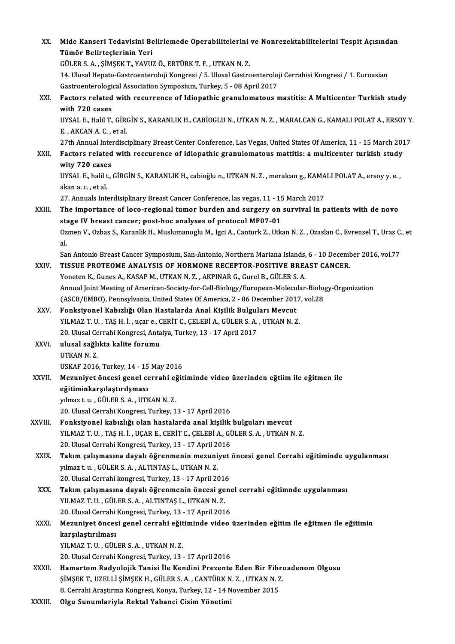| XX.          | Mide Kanseri Tedavisini Belirlemede Operabilitelerini ve Nonrezektabilitelerini Tespit Açısından                         |
|--------------|--------------------------------------------------------------------------------------------------------------------------|
|              | Tümör Belirteçlerinin Yeri                                                                                               |
|              | GÜLER S. A., ŞİMŞEK T., YAVUZ Ö., ERTÜRK T. F., UTKAN N. Z.                                                              |
|              | 14. Ulusal Hepato-Gastroenteroloji Kongresi / 5. Ulusal Gastroenteroloji Cerrahisi Kongresi / 1. Euroasian               |
|              | Gastroenterological Association Symposium, Turkey, 5 - 08 April 2017                                                     |
| XXI.         | Factors related with recurrence of Idiopathic granulomatous mastitis: A Multicenter Turkish study                        |
|              | with 720 cases                                                                                                           |
|              | UYSAL E., Halil T., GİRGİN S., KARANLIK H., CABİOGLU N., UTKAN N. Z., MARALCAN G., KAMALI POLAT A., ERSOY Y.             |
|              | E, AKCAN A.C., et al.                                                                                                    |
|              | 27th Annual Interdisciplinary Breast Center Conference, Las Vegas, United States Of America, 11 - 15 March 2017          |
| XXII.        | Factors related with reccurence of idiopathic granulomatous mattitis: a multicenter turkish study                        |
|              | wity 720 cases                                                                                                           |
|              | UYSAL E., halil t., GİRGİN S., KARANLIK H., cabioğlu n., UTKAN N. Z., meralcan g., KAMALI POLAT A., ersoy y. e.,         |
|              | akan a c, et al                                                                                                          |
|              | 27. Annuals Interdisiplinary Breast Cancer Conference, las vegas, 11 - 15 March 2017                                     |
| XXIII.       | The importance of loco-regional tumor burden and surgery on survival in patients with de novo                            |
|              | stage IV breast cancer; post-hoc analyses of protocol MF07-01                                                            |
|              | Ozmen V., Ozbas S., Karanlik H., Muslumanoglu M., Igci A., Canturk Z., Utkan N. Z., Ozaslan C., Evrensel T., Uras C., et |
|              | al.                                                                                                                      |
|              | San Antonio Breast Cancer Symposium, San-Antonio, Northern Mariana Islands, 6 - 10 December 2016, vol.77                 |
| XXIV.        | TISSUE PROTEOME ANALYSIS OF HORMONE RECEPTOR-POSITIVE BREAST CANCER.                                                     |
|              | Yoneten K., Gunes A., KASAP M., UTKAN N. Z., AKPINAR G., Gurel B., GÜLER S. A.                                           |
|              | Annual Joint Meeting of American-Society-for-Cell-Biology/European-Molecular-Biology-Organization                        |
|              | (ASCB/EMBO), Pennsylvania, United States Of America, 2 - 06 December 2017, vol.28                                        |
| XXV.         | Fonksiyonel Kabızlığı Olan Hastalarda Anal Kişilik Bulguları Mevcut                                                      |
|              | YILMAZ T. U., TAŞ H. İ., uçar e., CERİT C., ÇELEBİ A., GÜLER S. A., UTKAN N. Z.                                          |
| XXVI.        | 20. Ulusal Cerrahi Kongresi, Antalya, Turkey, 13 - 17 April 2017<br>ulusal sağlıkta kalite forumu                        |
|              | UTKAN N. Z                                                                                                               |
|              | USKAF 2016, Turkey, 14 - 15 May 2016                                                                                     |
| <b>XXVII</b> | Mezuniyet öncesi genel cerrahi eğitiminde video üzerinden eğtiim ile eğitmen ile                                         |
|              | eğitiminkarşılaştırılşması                                                                                               |
|              | yılmaz t. u., GÜLER S. A., UTKAN N. Z.                                                                                   |
|              | 20. Ulusal Cerrahi Kongresi, Turkey, 13 - 17 April 2016                                                                  |
| XXVIII.      | Fonksiyonel kabızlığı olan hastalarda anal kişilik bulguları mevcut                                                      |
|              | YILMAZ T. U., TAŞ H. İ., UÇAR E., CERİT C., ÇELEBİ A., GÜLER S. A., UTKAN N. Z.                                          |
|              | 20. Ulusal Cerrahi Kongresi, Turkey, 13 - 17 April 2016                                                                  |
| XXIX.        | Takım çalışmasına dayalı öğrenmenin mezuniyet öncesi genel Cerrahi eğitiminde uygulanması                                |
|              | yılmaz t. u., GÜLER S. A., ALTINTAŞ L., UTKAN N. Z.                                                                      |
|              | 20. Ulusal Cerrahi kongresi, Turkey, 13 - 17 April 2016                                                                  |
| XXX.         | Takım çalışmasına dayalı öğrenmenin öncesi genel cerrahi eğitimnde uygulanması                                           |
|              | YILMAZ T. U., GÜLER S. A., ALTINTAŞ L., UTKAN N. Z.                                                                      |
|              | 20. Ulusal Cerrahi Kongresi, Turkey, 13 - 17 April 2016                                                                  |
| XXXI.        | Mezuniyet öncesi genel cerrahi eğitiminde video üzerinden eğitim ile eğitmen ile eğitimin                                |
|              | karşılaştırılması                                                                                                        |
|              | YILMAZ T. U., GÜLER S. A., UTKAN N. Z.                                                                                   |
|              | 20. Ulusal Cerrahi Kongresi, Turkey, 13 - 17 April 2016                                                                  |
| <b>XXXII</b> | Hamartom Radyolojik Tanisi İle Kendini Prezente Eden Bir Fibroadenom Olgusu                                              |
|              | ŞİMŞEK T., UZELLİ ŞİMŞEK H., GÜLER S. A. , CANTÜRK N. Z. , UTKAN N. Z.                                                   |
|              | 8. Cerrahi Araştırma Kongresi, Konya, Turkey, 12 - 14 November 2015                                                      |
| XXXIII.      | Olgu Sunumlariyla Rektal Yabanci Cisim Yönetimi                                                                          |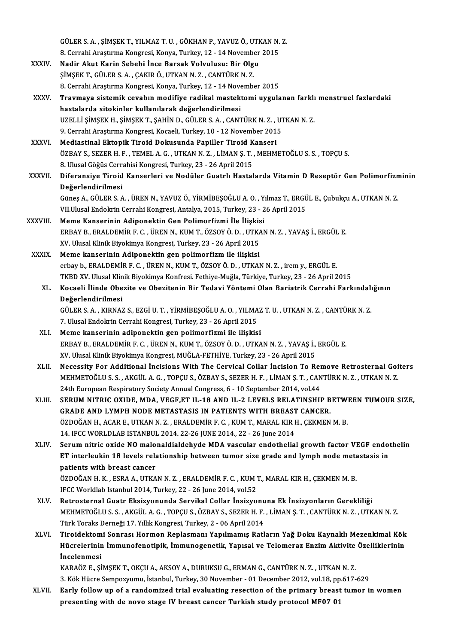GÜLER S. A. , ŞİMŞEK T., YILMAZ T. U. , GÖKHAN P., YAVUZ Ö., UTKAN N. Z.<br>8. Carrabi Arastruma Kongresi, Konua, Turkay, 13., 14 Navambar 2015 GÜLER S. A. , ŞİMŞEK T., YILMAZ T. U. , GÖKHAN P., YAVUZ Ö., UTKAN N.<br>8. Cerrahi Araştırma Kongresi, Konya, Turkey, 12 - 14 November 2015<br>Nadin Akut Konin Sababi İnge Barsak Vakulusu, Bir Olsu GÜLER S. A. , ŞİMŞEK T., YILMAZ T. U. , GÖKHAN P., YAVUZ Ö., UTH<br>8. Cerrahi Araştırma Kongresi, Konya, Turkey, 12 - 14 November<br>XXXIV. Nadir Akut Karin Sebebi İnce Barsak Volvulusu: Bir Olgu<br>8. NASEK T. CÜLER S. A. GAKIR Ö 8. Cerrahi Araştırma Kongresi, Konya, Turkey, 12 - 14 Novembe<br>Nadir Akut Karin Sebebi İnce Barsak Volvulusu: Bir Olg<br>ŞİMŞEK T., GÜLER S.A. , ÇAKIR Ö., UTKAN N. Z. , CANTÜRK N. Z.<br>8. Carrabi Arastırma Kongresi Konya Turkay Nadir Akut Karin Sebebi İnce Barsak Volvulusu: Bir Olgu<br>ŞİMŞEK T., GÜLER S.A. , ÇAKIR Ö., UTKAN N.Z. , CANTÜRK N.Z.<br>8. Cerrahi Araştırma Kongresi, Konya, Turkey, 12 - 14 November 2015 XXXV. Travmaya sistemik cevabın modifiye radikal mastektomi uygulanan farklı menstruel fazlardaki hastalarda sitokinler kullanılarak değerlendirilmesi Travmaya sistemik cevabın modifiye radikal mastektomi uygulanan farklı<br>hastalarda sitokinler kullanılarak değerlendirilmesi<br>UZELLİ ŞİMŞEK H., ŞİMŞEK T., ŞAHİN D., GÜLER S. A. , CANTÜRK N. Z. , UTKAN N. Z.<br>9. Cerrebi Arastı hastalarda sitokinler kullanılarak değerlendirilmesi<br>UZELLİ ŞİMŞEK H., ŞİMŞEK T., ŞAHİN D., GÜLER S. A. , CANTÜRK N. Z. , UJ<br>9. Cerrahi Araştırma Kongresi, Kocaeli, Turkey, 10 - 12 November 2015<br>Mediastinal Ektonik Tiroid UZELLİ ŞİMŞEK H., ŞİMŞEK T., ŞAHİN D., GÜLER S. A. , CANTÜRK N. Z. ,<br>9. Cerrahi Araştırma Kongresi, Kocaeli, Turkey, 10 - 12 November 201<br>XXXVI. Mediastinal Ektopik Tiroid Dokusunda Papiller Tiroid Kanseri<br>67PAV S. SEZER H 9. Cerrahi Araştırma Kongresi, Kocaeli, Turkey, 10 - 12 November 2015<br>Mediastinal Ektopik Tiroid Dokusunda Papiller Tiroid Kanseri<br>ÖZBAY S., SEZER H. F. , TEMEL A. G. , UTKAN N. Z. , LİMAN Ş. T. , MEHMETOĞLU S. S. , TOPÇU Mediastinal Ektopik Tiroid Dokusunda Papiller Tiroid K<br>ÖZBAY S., SEZER H. F. , TEMEL A. G. , UTKAN N. Z. , LİMAN Ş. T.<br>8. Ulusal Göğüs Cerrahisi Kongresi, Turkey, 23 - 26 April 2015<br>Diforensiya Tiroid Kansarlari ve Nodüler ÖZBAY S., SEZER H. F. , TEMEL A. G. , UTKAN N. Z. , LİMAN Ş. T. , MEHMETOĞLU S. S. , TOPÇU S.<br>8. Ulusal Göğüs Cerrahisi Kongresi, Turkey, 23 - 26 April 2015<br>XXXVII. Diferansiye Tiroid Kanserleri ve Nodüler Guatrlı Hast 8. Ulusal Göğüs Cerra<br>Diferansiye Tiroid<br>Değerlendirilmesi<br>Günes A. Gül ER S. A Diferansiye Tiroid Kanserleri ve Nodüler Guatrlı Hastalarda Vitamin D Reseptör Gen Polimorfizn<br>Değerlendirilmesi<br>Güneş A., GÜLER S. A. , ÜREN N., YAVUZ Ö., YİRMİBEŞOĞLU A. O. , Yılmaz T., ERGÜL E., Çubukçu A., UTKAN N. Z.<br> De<mark>ğerlendirilmesi</mark><br>Güneş A., GÜLER S. A. , ÜREN N., YAVUZ Ö., YİRMİBEŞOĞLU A. O. , Yılmaz T., ERGÜ<br>VII.Ulusal Endokrin Cerrahi Kongresi, Antalya, 2015, Turkey, 23 - 26 April 2015<br>Meme Kanserinin Adinenektin Cen Belimerfiz Güneş A., GÜLER S. A. , ÜREN N., YAVUZ Ö., YİRMİBEŞOĞLU A. O. , Y.<br>VII.Ulusal Endokrin Cerrahi Kongresi, Antalya, 2015, Turkey, 23 - 2<br>XXXVIII. Meme Kanserinin Adiponektin Gen Polimorfizmi İle İlişkisi VII.Ulusal Endokrin Cerrahi Kongresi, Antalya, 2015, Turkey, 23 - 26 April 2015<br>Meme Kanserinin Adiponektin Gen Polimorfizmi İle İlişkisi<br>ERBAY B., ERALDEMİR F. C. , ÜREN N., KUM T., ÖZSOY Ö. D. , UTKAN N. Z. , YAVAS İ., E XV.UlusalKlinikBiyokimyaKongresi,Turkey,23 -26April2015 XXXIX. Meme kanserinin Adiponektin gen polimorfizmile ilişkisi erbay b., ERALDEMİR F. C., ÜREN N., KUM T., ÖZSOYÖ. D., UTKAN N. Z., irem y., ERGÜL E. TKBD XV. Ulusal Klinik Biyokimya Konfresi. Fethiye-Muğla, Türkiye, Turkey, 23 - 26 April 2015 erbay b., ERALDEMİR F. C. , ÜREN N., KUM T., ÖZSOY Ö. D. , UTKAN N. Z. , irem y., ERGÜL E.<br>TKBD XV. Ulusal Klinik Biyokimya Konfresi. Fethiye-Muğla, Türkiye, Turkey, 23 - 26 April 2015<br>XL. Kocaeli İlinde Obezite ve Obe TKBD XV. Ulusal Klin<br>Kocaeli İlinde Obe<br>Değerlendirilmesi<br>CÜLER S. A. KIBNA3 Kocaeli İlinde Obezite ve Obezitenin Bir Tedavi Yöntemi Olan Bariatrik Cerrahi Farkındalı<br>Değerlendirilmesi<br>GÜLER S.A., KIRNAZ S., EZGİ U.T., YİRMİBEŞOĞLU A.O., YILMAZ T.U., UTKAN N. Z., CANTÜRK N. Z.<br>7. Ulusal Endelmin Ce Değerlendirilmesi<br>GÜLER S. A. , KIRNAZ S., EZGİ U. T. , YİRMİBEŞOĞLU A. O. , YILMAZ T. U. , UTKAN N. Z. , CANTÜRK N. Z.<br>7. Ulusal Endokrin Cerrahi Kongresi, Turkey, 23 - 26 April 2015 XLI. Meme kanserinin adiponektin gen polimorfizmi ile ilişkisi ERBAYB.,ERALDEMİRF.C. ,ÜRENN.,KUMT.,ÖZSOYÖ.D. ,UTKANN.Z. ,YAVAŞ İ.,ERGÜL E. XV. Ulusal Klinik Biyokimya Kongresi, MUĞLA-FETHİYE, Turkey, 23 - 26 April 2015 ERBAY B., ERALDEMİR F. C. , ÜREN N., KUM T., ÖZSOY Ö. D. , UTKAN N. Z. , YAVAŞ İ., ERGÜL E.<br>XV. Ulusal Klinik Biyokimya Kongresi, MUĞLA-FETHİYE, Turkey, 23 - 26 April 2015<br>XLII. NECESSITY FOR Additional İncisions With XV. Ulusal Klinik Biyokimya Kongresi, MUĞLA-FETHİYE, Turkey, 23 - 26 April 2015<br>Necessity For Additional İncisions With The Cervical Collar İncision To Remove Retrosternal Goi<br>MEHMETOĞLU S. S. , AKGÜL A. G. , TOPÇU S., ÖZB Necessity For Additional Incisions With The Cervical Collar Incision To Rei<br>MEHMETOĞLU S. S., AKGÜL A. G., TOPÇU S., ÖZBAY S., SEZER H. F., LİMAN Ş. T., CAN<br>24th European Respiratory Society Annual Congress, 6 - 10 Septemb MEHMETOĞLU S. S. , AKGÜL A. G. , TOPÇU S., ÖZBAY S., SEZER H. F. , LİMAN Ş. T. , CANTÜRK N. Z. , UTKAN N. Z.<br>24th European Respiratory Society Annual Congress, 6 - 10 September 2014, vol.44<br>XLIII. SERUM NITRIC OXIDE, M 24th European Respiratory Society Annual Congress, 6 - 10 September 2014, vol.44<br>SERUM NITRIC OXIDE, MDA, VEGF,ET IL-18 AND IL-2 LEVELS RELATINSHIP B<br>GRADE AND LYMPH NODE METASTASIS IN PATIENTS WITH BREAST CANCER.<br>ÖZDOĞANH SERUM NITRIC OXIDE, MDA, VEGF,ET IL-18 AND IL-2 LEVELS RELATINSHIP BETW.<br>GRADE AND LYMPH NODE METASTASIS IN PATIENTS WITH BREAST CANCER.<br>ÖZDOĞAN H., ACAR E., UTKAN N. Z. , ERALDEMİR F. C. , KUM T., MARAL KIR H., ÇEKMEN M. GRADE AND LYMPH NODE METASTASIS IN PATIENTS WITH BREAST<br>ÖZDOĞAN H., ACAR E., UTKAN N. Z. , ERALDEMİR F. C. , KUM T., MARAL KIR I<br>14. IFCC WORLDLAB ISTANBUL 2014. 22-26 JUNE 2014., 22 - 26 June 2014<br>Serum nitris evide NO ma XLIV. Serumnitric oxide NOmalonaldialdehyde MDA vascular endothelial growth factor VEGF endothelin 14. IFCC WORLDLAB ISTANBUL 2014. 22-26 JUNE 2014., 22 - 26 June 2014<br>Serum nitric oxide NO malonaldialdehyde MDA vascular endothelial growth factor VEGF endot<br>ET interleukin 18 levels relationship between tumor size grade Serum nitric oxide NO malo<br>ET interleukin 18 levels rela<br>patients with breast cancer<br>ÖZDOČAN H K ESBA A HTKA ET interleukin 18 levels relationship between tumor size grade and lymph node meta<br>patients with breast cancer<br>ÖZDOĞAN H. K. , ESRA A., UTKAN N. Z. , ERALDEMİR F. C. , KUM T., MARAL KIR H., ÇEKMEN M. B.<br>IECC Werldleb Istan patients with breast cancer<br>ÖZDOĞAN H. K. , ESRA A., UTKAN N. Z. , ERALDEMİR F. C. , KUM T., MARAL KIR H., ÇEKMEN M. B.<br>IFCC Worldlab Istanbul 2014, Turkey, 22 - 26 June 2014, vol.52 ÖZDOĞAN H. K. , ESRA A., UTKAN N. Z. , ERALDEMİR F. C. , KUM T., MARAL KIR H., ÇEKMEN M. B.<br>IFCC Worldlab Istanbul 2014, Turkey, 22 - 26 June 2014, vol.52<br>XLV. Retrosternal Guatr Eksizyonunda Servikal Collar İnsizyonun MEHMETOĞLU S. S. , AKGÜL A. G. , TOPÇU S., ÖZBAY S., SEZER H. F. , LİMAN Ş. T. , CANTÜRK N. Z. , UTKAN N. Z.<br>Türk Toraks Derneği 17. Yıllık Kongresi, Turkey, 2 - 06 April 2014 Retrosternal Guatr Eksizyonunda Servikal Collar İnsizyonu<br>MEHMETOĞLU S. S. , AKGÜL A. G. , TOPÇU S., ÖZBAY S., SEZER H. F.<br>Türk Toraks Derneği 17. Yıllık Kongresi, Turkey, 2 - 06 April 2014<br>Tineidektemi Sennesı Hermen Benl MEHMETOĞLU S. S. , AKGÜL A. G. , TOPÇU S., ÖZBAY S., SEZER H. F. , LİMAN Ş. T. , CANTÜRK N. Z. , UTKAN N. Z.<br>Türk Toraks Derneği 17. Yıllık Kongresi, Turkey, 2 - 06 April 2014<br>XLVI. Tiroidektomi Sonrası Hormon Replasma Türk Toraks Derneği 17. Yıllık Kongresi, Turkey, 2 - 06 April 2014<br>Tiroidektomi Sonrası Hormon Replasmanı Yapılmamış Ratların Yağ Doku Kaynaklı Mezenkimal Kök<br>Hücrelerinin İmmunofenotipik, İmmunogenetik, Yapısal ve Telomer Tiroidektom<br>Hücrelerinin<br>İncelenmesi<br>KARAÖZE Sİ Hücrelerinin İmmunofenotipik, İmmunogenetik, Yapısal ve Telomeraz Enzim Aktivite Özelliklerinin<br>İncelenmesi<br>KARAÖZ E., SİMSEK T., OKÇU A., AKSOY A., DURUKSU G., ERMAN G., CANTÜRK N. Z. , UTKAN N. Z. 3.KökHücre Sempozyumu, İstanbul,Turkey,30November -01December 2012,vol.18,pp.617-629 XLVII. Early follow up of a randomized trial evaluating resection of the primary breast tumor in women presenting with de novo stage IV breast cancer Turkish study protocol MF07 01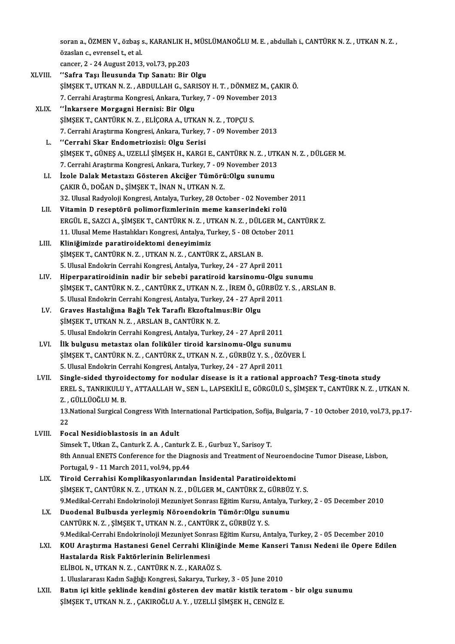soran a., ÖZMEN V., özbaş s., KARANLIK H., MÜSLÜMANOĞLU M. E. , abdullah i., CANTÜRK N. Z. , UTKAN N. Z. ,<br>Özgelen a. evronael t. et el soran a., ÖZMEN V., özbaş s<br>özaslan c., evrensel t., et al.<br>sansen 3 - 34 August 3013 soran a., ÖZMEN V., özbaş s., KARANLIK H.,<br>özaslan c., evrensel t., et al.<br>cancer, 2 - 24 August 2013, vol.73, pp.203<br>''Safra Tası İleyayında Tın Sanatu Bir ' özaslan c., evrensel t., et al.<br>cancer, 2 - 24 August 2013, vol.73, pp.203<br>XLVIII. "Safra Taşı İleusunda Tıp Sanatı: Bir Olgu

- ŞİMŞEK T., UTKAN N. Z., ABDULLAH G., SARISOY H. T., DÖNMEZ M., ÇAKIR Ö. "Safra Taşı İleusunda Tıp Sanatı: Bir Olgu<br>ŞİMŞEK T., UTKAN N. Z. , ABDULLAH G., SARISOY H. T. , DÖNMEZ M., ÇA<br>7. Cerrahi Araştırma Kongresi, Ankara, Turkey, 7 - 09 November 2013<br>"İnkarsore Mergegni Hernisi: Bir Olgu
- XLIX. "Inkarsere Morgagni Hernisi: Bir Olgu<br>SIMSEK T., CANTÜRK N. Z., ELICORA A., UTKAN N. Z., TOPCU S. 7. Cerrahi Araştırma Kongresi, Ankara, Turkey, 7 - 09 Novembe<br>"İnkarsere Morgagni Hernisi: Bir Olgu<br>ŞİMŞEK T., CANTÜRK N. Z. , ELİÇORA A., UTKAN N. Z. , TOPÇU S.<br>7. Cerrebi Arastırma Kongresi, Ankara Turkey, 7., 09 Novembe 7.CerrahiAraştırmaKongresi,Ankara,Turkey,7 -09November 2013
	- L. ʻ Cerrahi Skar Endometriozisi: Olgu Serisi 7. Cerrahi Araştırma Kongresi, Ankara, Turkey, 7 - 09 November 2013<br>''Cerrahi Skar Endometriozisi: Olgu Serisi<br>ŞİMŞEK T., GÜNEŞ A., UZELLİ ŞİMŞEK H., KARGI E., CANTÜRK N. Z. , UTKAN N. Z. , DÜLGER M.<br>7. Cerrebi Arastuma Ko "Cerrahi Skar Endometriozisi: Olgu Serisi<br>ŞİMŞEK T., GÜNEŞ A., UZELLİ ŞİMŞEK H., KARGI E., CANTÜRK N. Z. , UTK<br>7. Cerrahi Araştırma Kongresi, Ankara, Turkey, 7 - 09 November 2013<br>İzela Dalak Metastarı Gösteren Aksiğer Tümö 7. Cerrahi Araştırma Kongresi, Ankara, Turkey, 7 - 09 November 2013<br>LI. İzole Dalak Metastazı Gösteren Akciğer Tümörü:Olgu sunumu
	- ÇAKIR Ö., DOĞAN D., ŞİMŞEK T., İNAN N., UTKAN N.Z. 32. Ulusal Radyoloji Kongresi, Antalya, Turkey, 28 October - 02 November 2011
- LII. Vitamin D reseptörü polimorfizmlerinin meme kanserindeki rolü 32. Ulusal Radyoloji Kongresi, Antalya, Turkey, 28 October - 02 November 2011<br>Vitamin D reseptörü polimorfizmlerinin meme kanserindeki rolü<br>ERGÜL E., SAZCI A., ŞİMŞEK T., CANTÜRK N. Z. , UTKAN N. Z. , DÜLGER M., CANTÜRK Z. Vitamin D reseptörü polimorfizmlerinin meme kanserindeki rolü<br>ERGÜL E., SAZCI A., ŞİMŞEK T., CANTÜRK N. Z. , UTKAN N. Z. , DÜLGER M., CA<br>11. Ulusal Meme Hastalıkları Kongresi, Antalya, Turkey, 5 - 08 October 2011<br>Kliniğimi 11. Ulusal Meme Hastalıkları Kongresi, Antalya, Turkey, 5 - 08 October 2011<br>LIII. Kliniğimizde paratiroidektomi deneyimimiz
- ŞİMŞEK T., CANTÜRK N. Z., UTKAN N. Z., CANTÜRK Z., ARSLAN B. 5.UlusalEndokrinCerrahiKongresi,Antalya,Turkey,24 -27April2011
- LIV. Hiperparatiroidinin nadir bir sebebi paratiroid karsinomu-Olgu sunumu 5. Ulusal Endokrin Cerrahi Kongresi, Antalya, Turkey, 24 - 27 April 2011<br>Hiperparatiroidinin nadir bir sebebi paratiroid karsinomu-Olgu sunumu<br>ŞİMŞEK T., CANTÜRK N. Z. , CANTÜRK Z., UTKAN N. Z. , İREM Ö., GÜRBÜZ Y. S. , AR Hiperparatiroidinin nadir bir sebebi paratiroid karsinomu-Olgu<br>ŞİMŞEK T., CANTÜRK N. Z. , CANTÜRK Z., UTKAN N. Z. , İREM Ö., GÜRBÜZ<br>5. Ulusal Endokrin Cerrahi Kongresi, Antalya, Turkey, 24 - 27 April 2011<br>Crayes Hastalığın ŞİMŞEK T., CANTÜRK N. Z. , CANTÜRK Z., UTKAN N. Z. , İREM Ö., GÜ<br>5. Ulusal Endokrin Cerrahi Kongresi, Antalya, Turkey, 24 - 27 Apri<br>LV. Graves Hastalığına Bağlı Tek Taraflı Ekzoftalmus:Bir Olgu<br>SİMSEK T. UTKAN N. Z., A
- 5. Ulusal Endokrin Cerrahi Kongresi, Antalya, Turkey, 24 27 April 2011<br>LV. Graves Hastalığına Bağlı Tek Taraflı Ekzoftalmus:Bir Olgu<br>ŞİMŞEK T., UTKAN N. Z. , ARSLAN B., CANTÜRK N. Z. 5.UlusalEndokrinCerrahiKongresi,Antalya,Turkey,24 -27April2011
- LVI. İlk bulgusumetastaz olan foliküler tiroid karsinomu-Olgu sunumu 5. Ulusal Endokrin Cerrahi Kongresi, Antalya, Turkey, 24 - 27 April 2011<br>İlk bulgusu metastaz olan foliküler tiroid karsinomu-Olgu sunumu<br>ŞİMŞEK T., CANTÜRK N. Z. , CANTÜRK Z., UTKAN N. Z. , GÜRBÜZ Y. S. , ÖZÖVER İ.<br>E. Ulu İlk bulgusu metastaz olan foliküler tiroid karsinomu-Olgu sunum<br>ŞİMŞEK T., CANTÜRK N. Z. , CANTÜRK Z., UTKAN N. Z. , GÜRBÜZ Y. S. , ÖZÖ<br>5. Ulusal Endokrin Cerrahi Kongresi, Antalya, Turkey, 24 - 27 April 2011<br>Single sided 5. Ulusal Endokrin Cerrahi Kongresi, Antalya, Turkey, 24 - 27 April 2011<br>LVII. Single-sided thyroidectomy for nodular disease is it a rational approach? Tesg-tinota study
- 5. Ulusal Endokrin Cerrahi Kongresi, Antalya, Turkey, 24 27 April 2011<br>Single-sided thyroidectomy for nodular disease is it a rational approach? Tesg-tinota study<br>EREL S., TANRIKULU Y., ATTAALLAH W., SEN L., LAPSEKİLİ E. Single-sided thyroi:<br>EREL S., TANRIKULU<br>Z. , GÜLLÜOĞLU M. B.<br>13 National Sungigal C EREL S., TANRIKULU Y., ATTAALLAH W., SEN L., LAPSEKİLİ E., GÖRGÜLÜ S., ŞİMŞEK T., CANTÜRK N. Z. , UTKAN N.<br>Z. , GÜLLÜOĞLU M. B.<br>13.National Surgical Congress With International Participation, Sofija, Bulgaria, 7 - 10 Octob

Z,<br>13.<br>22<br>Ec: 13. National Surgical Congress With Into 22<br>22<br>LVIII. Focal Nesidioblastosis in an Adult<br>Simeek T. Utkan Z. Conturk Z.A. Contr

22<br>1932 LVIII. – Focal Nesidioblastosis in an Adult<br>Simsek T., Utkan Z., Canturk Z. A. , Canturk Z. E. , Gurbuz Y., Sarisoy T. Focal Nesidioblastosis in an Adult<br>Simsek T., Utkan Z., Canturk Z. A. , Canturk Z. E. , Gurbuz Y., Sarisoy T.<br>8th Annual ENETS Conference for the Diagnosis and Treatment of Neuroendocine Tumor Disease, Lisbon,<br>Pertugal 9, Simsek T., Utkan Z., Canturk Z. A. , Canturk Z.<br>8th Annual ENETS Conference for the Diag<br>Portugal, 9 - 11 March 2011, vol.94, pp.44<br>Tineid Correbisi Komplikesyonlarında 8th Annual ENETS Conference for the Diagnosis and Treatment of Neuroend<br>Portugal, 9 - 11 March 2011, vol.94, pp.44<br>LIX. Tiroid Cerrahisi Komplikasyonlarından İnsidental Paratiroidektomi<br>SİMSEK T. CANTÜRK N.Z. LUTKAN N.Z. D

Portugal, 9 - 11 March 2011, vol.94, pp.44<br>Tiroid Cerrahisi Komplikasyonlarından İnsidental Paratiroidektomi<br>ŞİMŞEK T., CANTÜRK N. Z. , UTKAN N. Z. , DÜLGER M., CANTÜRK Z., GÜRBÜZ Y. S.<br>9 Medikal Cerrahi Endekrinoloji Megu Tiroid Cerrahisi Komplikasyonlarından İnsidental Paratiroidektomi<br>ŞİMŞEK T., CANTÜRK N. Z. , UTKAN N. Z. , DÜLGER M., CANTÜRK Z., GÜRBÜZ Y. S.<br>9.Medikal-Cerrahi Endokrinoloji Mezuniyet Sonrası Eğitim Kursu, Antalya, Turkey ŞİMŞEK T., CANTÜRK N. Z. , UTKAN N. Z. , DÜLGER M., CANTÜRK Z., GÜRBÜZ<br>9.Medikal-Cerrahi Endokrinoloji Mezuniyet Sonrası Eğitim Kursu, Antalya, 1<br>LX. Duodenal Bulbusda yerleşmiş Nöroendokrin Tümör:Olgu sunumu<br>CANTÜPK N

- 9.Medikal-Cerrahi Endokrinoloji Mezuniyet Sonrası Eğitim Kursu, An<br>Duodenal Bulbusda yerleşmiş Nöroendokrin Tümör:Olgu su<br>CANTÜRK N. Z. , ŞİMŞEK T., UTKAN N. Z. , CANTÜRK Z., GÜRBÜZ Y. S.<br>9 Medikal Cerrabi Endokrinoloji Me LX. Duodenal Bulbusda yerleşmiş Nöroendokrin Tümör:Olgu sunumu<br>CANTÜRK N. Z. , ŞİMŞEK T., UTKAN N. Z. , CANTÜRK Z., GÜRBÜZ Y. S.<br>9.Medikal-Cerrahi Endokrinoloji Mezuniyet Sonrası Eğitim Kursu, Antalya, Turkey, 2 - 05 De
- LXI. KOU Araştırma Hastanesi Genel Cerrahi Kliniğinde Meme Kanseri Tanısı Nedeni ile Opere Edilen 9.Medikal-Cerrahi Endokrinoloji Mezuniyet Sonra<br>KOU Araştırma Hastanesi Genel Cerrahi Kli<br>Hastalarda Risk Faktörlerinin Belirlenmesi<br>ELİPOL N. UTKAN N.Z. CANTÜPK N.Z. KARAÖ KOU Araştırma Hastanesi Genel Cerrahi Kliniği<br>Hastalarda Risk Faktörlerinin Belirlenmesi<br>ELİBOL N., UTKAN N. Z. , CANTÜRK N. Z. , KARAÖZ S.<br>1. Uluslararesi Kadın Sağlığı Kanstasi, Sakamış Turki ELİBOL N., UTKAN N. Z. , CANTÜRK N. Z. , KARAÖZ S.<br>1. Uluslararası Kadın Sağlığı Kongresi, Sakarya, Turkey, 3 - 05 June 2010
- ELİBOL N., UTKAN N. Z. , CANTÜRK N. Z. , KARAÖZ S.<br>1. Uluslararası Kadın Sağlığı Kongresi, Sakarya, Turkey, 3 05 June 2010<br>1. Batın içi kitle şeklinde kendini gösteren dev matür kistik teratom bir olgu sunumu<br>1. SİMSEK 1. Uluslararası Kadın Sağlığı Kongresi, Sakarya, Turkey, 3 - 05 June 2010<br><mark>Batın içi kitle şeklinde kendini gösteren dev matür kistik terator</mark><br>ŞİMŞEK T., UTKAN N. Z. , ÇAKIROĞLU A. Y. , UZELLİ ŞİMŞEK H., CENGİZ E.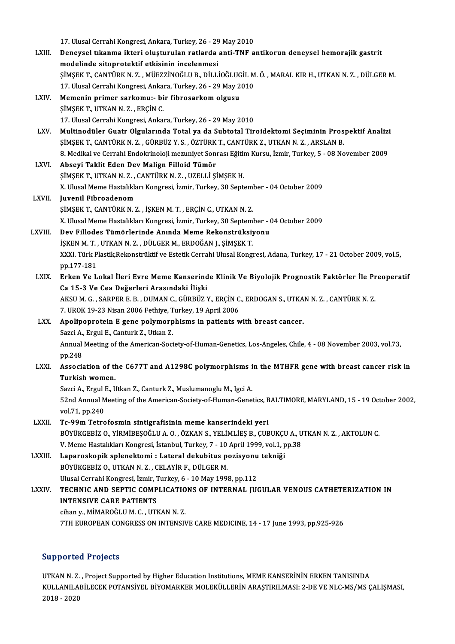|              | 17. Ulusal Cerrahi Kongresi, Ankara, Turkey, 26 - 29 May 2010                                                                                 |
|--------------|-----------------------------------------------------------------------------------------------------------------------------------------------|
| LXIII.       | Deneysel tıkanma ikteri oluşturulan ratlarda anti-TNF antikorun deneysel hemorajik gastrit                                                    |
|              | modelinde sitoprotektif etkisinin incelenmesi                                                                                                 |
|              | ŞİMŞEK T., CANTÜRK N. Z., MÜEZZİNOĞLU B., DİLLİOĞLUGİL M. Ö., MARAL KIR H., UTKAN N. Z., DÜLGER M.                                            |
|              | 17. Ulusal Cerrahi Kongresi, Ankara, Turkey, 26 - 29 May 2010                                                                                 |
| LXIV.        | Memenin primer sarkomu:- bir fibrosarkom olgusu                                                                                               |
|              | ŞİMŞEK T., UTKAN N.Z., ERÇİN C.                                                                                                               |
|              | 17. Ulusal Cerrahi Kongresi, Ankara, Turkey, 26 - 29 May 2010                                                                                 |
| LXV.         | Multinodüler Guatr Olgularında Total ya da Subtotal Tiroidektomi Seçiminin Prospektif Analizi                                                 |
|              | ŞİMŞEK T., CANTÜRK N. Z., GÜRBÜZ Y. S., ÖZTÜRK T., CANTÜRK Z., UTKAN N. Z., ARSLAN B.                                                         |
|              | 8. Medikal ve Cerrahi Endokrinoloji mezuniyet Sonrası Eğitim Kursu, İzmir, Turkey, 5 - 08 November 2009                                       |
| LXVI.        | Abseyi Taklit Eden Dev Malign Filloid Tümör                                                                                                   |
|              | ŞİMŞEK T., UTKAN N.Z., CANTÜRK N.Z., UZELLİ ŞİMŞEK H.                                                                                         |
|              | X. Ulusal Meme Hastalıkları Kongresi, İzmir, Turkey, 30 September - 04 October 2009                                                           |
| LXVII.       | Juvenil Fibroadenom                                                                                                                           |
|              | ŞİMŞEK T., CANTÜRK N. Z., İŞKEN M. T., ERÇİN C., UTKAN N. Z.                                                                                  |
|              | X. Ulusal Meme Hastalıkları Kongresi, İzmir, Turkey, 30 September - 04 October 2009                                                           |
| LXVIII.      | Dev Fillodes Tümörlerinde Anında Meme Rekonstrüksiyonu                                                                                        |
|              | İŞKEN M. T., UTKAN N. Z., DÜLGER M., ERDOĞAN J., ŞİMŞEK T.                                                                                    |
|              | XXXI. Türk Plastik, Rekonstrüktif ve Estetik Cerrahi Ulusal Kongresi, Adana, Turkey, 17 - 21 October 2009, vol.5,                             |
|              | pp 177-181                                                                                                                                    |
| LXIX.        | Erken Ve Lokal İleri Evre Meme Kanserinde Klinik Ve Biyolojik Prognostik Faktörler İle Preoperatif                                            |
|              | Ca 15-3 Ve Cea Değerleri Arasındaki İlişki<br>AKSU M. G., SARPER E. B., DUMAN C., GÜRBÜZ Y., ERÇİN C., ERDOGAN S., UTKAN N. Z., CANTÜRK N. Z. |
|              | 7. UROK 19-23 Nisan 2006 Fethiye, Turkey, 19 April 2006                                                                                       |
| LXX.         | Apolipoprotein E gene polymorphisms in patients with breast cancer.                                                                           |
|              | Sazci A., Ergul E., Canturk Z., Utkan Z.                                                                                                      |
|              | Annual Meeting of the American-Society-of-Human-Genetics, Los-Angeles, Chile, 4 - 08 November 2003, vol.73,                                   |
|              | pp 248                                                                                                                                        |
| LXXI.        | Association of the C677T and A1298C polymorphisms in the MTHFR gene with breast cancer risk in                                                |
|              | Turkish women.                                                                                                                                |
|              | Sazci A., Ergul E., Utkan Z., Canturk Z., Muslumanoglu M., Igci A.                                                                            |
|              | 52nd Annual Meeting of the American-Society-of-Human-Genetics, BALTIMORE, MARYLAND, 15 - 19 October 2002,                                     |
|              | vol 71, pp 240                                                                                                                                |
| LXXII.       | Tc-99m Tetrofosmin sintigrafisinin meme kanserindeki yeri                                                                                     |
|              | BÜYÜKGEBİZ O., YİRMİBEŞOĞLU A. O., ÖZKAN S., YELİMLİEŞ B., ÇUBUKÇU A., UTKAN N. Z., AKTOLUN C.                                                |
|              | V. Meme Hastalıkları Kongresi, İstanbul, Turkey, 7 - 10 April 1999, vol.1, pp.38                                                              |
| LXXIII.      | Laparoskopik splenektomi : Lateral dekubitus pozisyonu tekniği                                                                                |
|              | BÜYÜKGEBİZ O., UTKAN N.Z., CELAYİR F., DÜLGER M.                                                                                              |
|              | Ulusal Cerrahi Kongresi, İzmir, Turkey, 6 - 10 May 1998, pp.112                                                                               |
| <b>LXXIV</b> | TECHNIC AND SEPTIC COMPLICATIONS OF INTERNAL JUGULAR VENOUS CATHETERIZATION IN                                                                |
|              | <b>INTENSIVE CARE PATIENTS</b>                                                                                                                |
|              | cihan y., MİMAROĞLU M. C., UTKAN N. Z.                                                                                                        |
|              | 7TH EUROPEAN CONGRESS ON INTENSIVE CARE MEDICINE, 14 - 17 June 1993, pp.925-926                                                               |
|              |                                                                                                                                               |

## Supported Projects

Supported Projects<br>UTKAN N. Z. , Project Supported by Higher Education Institutions, MEME KANSERİNİN ERKEN TANISINDA<br>KULLANU ARİLECEK POTANSİYEL RİYOMARKER MOLEKÜLLERİN ARASTIRU MASL 3 DE VE NLC MS (MS G Supporteci in ojeces<br>UTKAN N. Z. , Project Supported by Higher Education Institutions, MEME KANSERİNİN ERKEN TANISINDA<br>KULLANILABİLECEK POTANSİYEL BİYOMARKER MOLEKÜLLERİN ARAŞTIRILMASI: 2-DE VE NLC-MS/MS ÇALIŞMASI, UTKAN N. Z.<br>KULLANILA<br>2018 - 2020